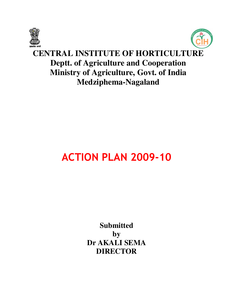



# **CENTRAL INSTITUTE OF HORTICULTURE Deptt. of Agriculture and Cooperation Ministry of Agriculture, Govt. of India Medziphema-Nagaland**

# **ACTION PLAN 2009-10**

**Submitted by Dr AKALI SEMA DIRECTOR**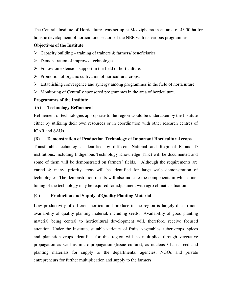The Central Institute of Horticulture was set up at Medziphema in an area of 43.50 ha for holistic development of horticulture sectors of the NER with its various programmes .

#### **Objectives of the Institute**

- $\triangleright$  Capacity building training of trainers & farmers/ beneficiaries
- $\triangleright$  Demonstration of improved technologies
- $\triangleright$  Follow-on extension support in the field of horticulture.
- $\triangleright$  Promotion of organic cultivation of horticultural crops.
- $\triangleright$  Establishing convergence and synergy among programmes in the field of horticulture
- Monitoring of Centrally sponsored programmes in the area of horticulture.

#### **Programmes of the Institute**

#### **(A) Technology Refinement**

Refinement of technologies appropriate to the region would be undertaken by the Institute either by utilizing their own resources or in coordination with other research centres of ICAR and SAUs.

#### **(B) Demonstration of Production Technology of Important Horticultural crops**

Transferable technologies identified by different National and Regional R and D institutions, including Indigenous Technology Knowledge (ITK) will be documented and some of them will be demonstrated on farmers' fields. Although the requirements are varied & many, priority areas will be identified for large scale demonstration of technologies. The demonstration results will also indicate the components in which finetuning of the technology may be required for adjustment with agro climatic situation.

#### **(C) Production and Supply of Quality Planting Material**

Low productivity of different horticultural produce in the region is largely due to nonavailability of quality planting material, including seeds. Availability of good planting material being central to horticultural development will, therefore, receive focused attention. Under the Institute, suitable varieties of fruits, vegetables, tuber crops, spices and plantation crops identified for this region will be multiplied through vegetative propagation as well as micro-propagation (tissue culture), as nucleus / basic seed and planting materials for supply to the departmental agencies, NGOs and private entrepreneurs for further multiplication and supply to the farmers.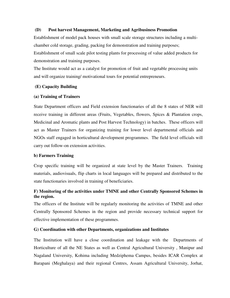#### **(D) Post harvest Management, Marketing and Agribusiness Promotion**

Establishment of model pack houses with small scale storage structures including a multichamber cold storage, grading, packing for demonstration and training purposes; Establishment of small scale pilot testing plants for processing of value added products for demonstration and training purposes.

The Institute would act as a catalyst for promotion of fruit and vegetable processing units and will organize training/ motivational tours for potential entrepreneurs.

#### **(E) Capacity Building**

#### **(a) Training of Trainers**

State Department officers and Field extension functionaries of all the 8 states of NER will receive training in different areas (Fruits, Vegetables, flowers, Spices & Plantation crops, Medicinal and Aromatic plants and Post Harvest Technology) in batches. These officers will act as Master Trainers for organizing training for lower level departmental officials and NGOs staff engaged in horticultural development programmes. The field level officials will carry out follow-on extension activities.

#### **b) Farmers Training**

Crop specific training will be organized at state level by the Master Trainers. Training materials, audiovisuals, flip charts in local languages will be prepared and distributed to the state functionaries involved in training of beneficiaries.

#### **F) Monitoring of the activities under TMNE and other Centrally Sponsored Schemes in the region.**

The officers of the Institute will be regularly monitoring the activities of TMNE and other Centrally Sponsored Schemes in the region and provide necessary technical support for effective implementation of these programmes.

#### **G) Coordination with other Departments, organizations and Institutes**

The Institution will have a close coordination and leakage with the Departments of Horticulture of all the NE States as well as Central Agricultural University , Manipur and Nagaland University, Kohima including Medziphema Campus, besides ICAR Complex at Barapani (Meghalaya) and their regional Centres, Assam Agricultural University, Jorhat,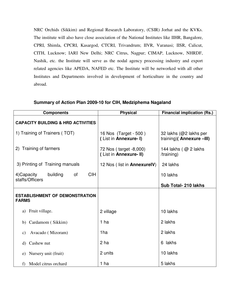NRC Orchids (Sikkim) and Regional Research Laboratory, (CSIR) Jorhat and the KVKs. The institute will also have close association of the National Institutes like IIHR, Bangalore, CPRI, Shimla, CPCRI, Kasargod, CTCRI, Trivandrum; IIVR, Varanasi; IISR, Calicut, CITH, Lucknow; IARI New Delhi; NRC Citrus, Nagpur; CIMAP, Lucknow, NHRDF, Nashik, etc. the Institute will serve as the nodal agency processing industry and export related agencies like APEDA, NAFED etc. The Institute will be networked with all other Institutes and Departments involved in development of horticulture in the country and abroad.

| <b>Components</b>                                     | <b>Physical</b>                                  | <b>Financial implication (Rs.)</b>                  |
|-------------------------------------------------------|--------------------------------------------------|-----------------------------------------------------|
| <b>CAPACITY BUILDING &amp; HRD ACTIVITIES</b>         |                                                  |                                                     |
| 1) Training of Trainers (TOT)                         | 16 Nos (Target - 500)<br>(List in Annexure- I)   | 32 lakhs (@2 lakhs per<br>training)( Annexure -III) |
| 2) Training of farmers                                | 72 Nos (target -8,000)<br>(List in Annexure- II) | 144 lakhs $\left(\right.$ @ 2 lakhs<br>/training)   |
| 3) Printing of Training manuals                       | 12 Nos (list in AnnexurelV)                      | 24 lakhs                                            |
| <b>CIH</b><br>4) Capacity<br>building<br>of           |                                                  | 10 lakhs                                            |
| staffs/Officers                                       |                                                  | Sub Total- 210 lakhs                                |
| <b>ESTABLISHMENT OF DEMONSTRATION</b><br><b>FARMS</b> |                                                  |                                                     |
| a) Fruit village.                                     | 2 village                                        | 10 lakhs                                            |
| Cardamom (Sikkim)<br>b)                               | 1 ha                                             | 2 lakhs                                             |
| Avacado (Mizoram)<br>$\mathbf{c})$                    | 1ha                                              | 2 lakhs                                             |
| Cashew nut<br>d)                                      | 2 ha                                             | 6 lakhs                                             |
| Nursery unit (fruit)<br>e)                            | 2 units                                          | 10 lakhs                                            |
| Model citrus orchard<br>f                             | 1 ha                                             | 5 lakhs                                             |

#### **Summary of Action Plan 2009-10 for CIH, Medziphema Nagaland**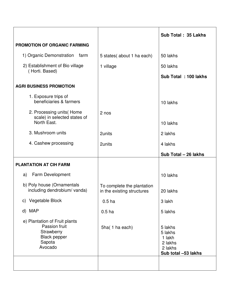|                                                                                                          |                                                          | Sub Total: 35 Lakhs                                                       |
|----------------------------------------------------------------------------------------------------------|----------------------------------------------------------|---------------------------------------------------------------------------|
| <b>PROMOTION OF ORGANIC FARMING</b>                                                                      |                                                          |                                                                           |
| 1) Organic Demonstration<br>farm                                                                         | 5 states (about 1 ha each)                               | 50 lakhs                                                                  |
| 2) Establishment of Bio village                                                                          | 1 village                                                | 50 lakhs                                                                  |
| (Horti. Based)                                                                                           |                                                          | Sub Total: 100 lakhs                                                      |
| <b>AGRI BUSINESS PROMOTION</b>                                                                           |                                                          |                                                                           |
| 1. Exposure trips of<br>beneficiaries & farmers                                                          |                                                          | 10 lakhs                                                                  |
| 2. Processing units (Home<br>scale) in selected states of                                                | 2 nos                                                    |                                                                           |
| North East.                                                                                              |                                                          | 10 lakhs                                                                  |
| 3. Mushroom units                                                                                        | 2units                                                   | 2 lakhs                                                                   |
| 4. Cashew processing                                                                                     | 2units                                                   | 4 lakhs                                                                   |
|                                                                                                          |                                                          |                                                                           |
|                                                                                                          |                                                          | Sub Total - 26 lakhs                                                      |
| <b>PLANTATION AT CIH FARM</b>                                                                            |                                                          |                                                                           |
| <b>Farm Development</b><br>a)                                                                            |                                                          | 10 lakhs                                                                  |
| b) Poly house (Ornamentals<br>including dendrobium/ vanda)                                               | To complete the plantation<br>in the existing structures | 20 lakhs                                                                  |
| c) Vegetable Block                                                                                       | 0.5 <sub>ha</sub>                                        | 3 lakh                                                                    |
| d) MAP                                                                                                   | 0.5 <sub>ha</sub>                                        | 5 lakhs                                                                   |
| e) Plantation of Fruit plants<br>Passion fruit<br>Strawberry<br><b>Black pepper</b><br>Sapota<br>Avocado | 5ha(1 ha each)                                           | 5 lakhs<br>5 lakhs<br>1 lakh<br>2 lakhs<br>2 lakhs<br>Sub total -53 lakhs |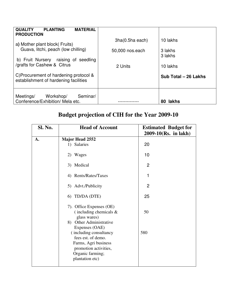| <b>MATERIAL</b><br><b>QUALITY</b><br><b>PLANTING</b><br><b>PRODUCTION</b>      |                 |                      |
|--------------------------------------------------------------------------------|-----------------|----------------------|
| a) Mother plant block (Fruits)                                                 | 3ha(0.5ha each) | 10 lakhs             |
| Guava, litchi, peach (low chilling)                                            | 50,000 nos.each | 3 lakhs              |
| b) Fruit Nursery raising of seedling<br>/grafts for Cashew & Citrus            |                 | 3 lakhs              |
|                                                                                | 2 Units         | 10 lakhs             |
| C)Procurement of hardening protocol &<br>establishment of hardening facilities |                 | Sub Total - 26 Lakhs |
| Seminar/<br>Meetings/<br>Workshop/<br>Conference/Exhibition/ Mela etc.         |                 | lakhs<br>80          |

# **Budget projection of CIH for the Year 2009-10**

| Sl. No. | <b>Head of Account</b>                                                                                                               | <b>Estimated Budget for</b><br>$2009 - 10$ (Rs. in lakh) |
|---------|--------------------------------------------------------------------------------------------------------------------------------------|----------------------------------------------------------|
| A.      | <b>Major Head 2552</b>                                                                                                               |                                                          |
|         | 1) Salaries                                                                                                                          | 20                                                       |
|         | 2) Wages                                                                                                                             | 10                                                       |
|         | 3) Medical                                                                                                                           | $\overline{2}$                                           |
|         | 4) Rents/Rates/Taxes                                                                                                                 | 1                                                        |
|         | 5) Advt./Publicity                                                                                                                   | $\overline{2}$                                           |
|         | 6) TD/DA (DTE)                                                                                                                       | 25                                                       |
|         | 7). Office Expenses (OE)<br>(including chemicals $\&$<br>glass wares)<br>8) Other Administrative<br>Expenses (OAE)                   | 50                                                       |
|         | (including consultancy<br>fees est. of demo.<br>Farms, Agri business<br>promotion activities,<br>Organic farming;<br>plantation etc) | 580                                                      |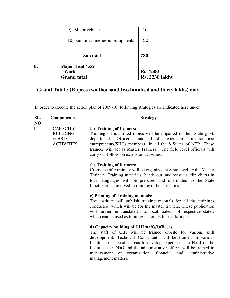|    | 9) Motor vehicle                    | 10                    |
|----|-------------------------------------|-----------------------|
|    | 10) Farm machineries $&$ Equipments | 30                    |
|    | Sub total                           | 730                   |
| В. | <b>Major Head 4552</b>              |                       |
|    | <b>Works</b>                        | <b>Rs. 1500</b>       |
|    | <b>Grand</b> total                  | <b>Rs. 2230 lakhs</b> |

# **Grand Total : (Rupees two thousand two hundred and thirty lakhs) only**

In order to execute the action plan of 2009-10, following strategies are indicated here under

| SL.          | <b>Components</b>                                                | <b>Strategy</b>                                                                                                                                                                                                                                                                                                                                                                                                   |
|--------------|------------------------------------------------------------------|-------------------------------------------------------------------------------------------------------------------------------------------------------------------------------------------------------------------------------------------------------------------------------------------------------------------------------------------------------------------------------------------------------------------|
| NO           |                                                                  |                                                                                                                                                                                                                                                                                                                                                                                                                   |
| $\mathbf{1}$ | <b>CAPACITY</b><br><b>BUILDING</b><br>& HRD<br><b>ACTIVITIES</b> | (a) Training of trainers:<br>Training on identified topics will be imparted to the State govt.<br>and field extension<br>department<br>Officers<br>functionaries/<br>entrepreneurs/SHGs members in all the 8 States of NER. These<br>trainees will act as Master Trainers The field level officials will<br>carry out follow-on extension activities.                                                             |
|              |                                                                  | (b) Training of farmers:<br>Crops specific training will be organized at State level by the Master<br>Trainers. Training materials, hands out, audiovisuals, flip charts in<br>local languages will be prepared and distributed to the State<br>functionaries involved in training of beneficiaries.                                                                                                              |
|              |                                                                  | c) Printing of Training manuals:<br>The institute will publish training manuals for all the trainings<br>conducted, which will be for the master trainers. These publication<br>will further be translated into local dialects of respective states,<br>which can be used as training materials for the farmers                                                                                                   |
|              |                                                                  | d) Capacity building of CIH staffs/Officers<br>The staff of CIH will be trained on-site for various skill<br>development. Technical Consultants will be trained in various<br>Institutes on specific areas to develop expertise. The Head of the<br>Institute, the DDO and the administrative offices will be trained in<br>management of organization, financial<br>administrative<br>and<br>management matters. |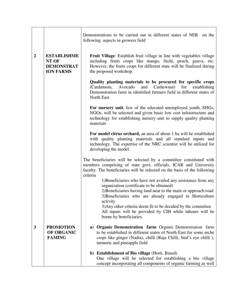|                  |                                                                      | Demonstrations to be carried out in different states of NER on the<br>following aspects in growers field                                                                                                                                             |  |  |
|------------------|----------------------------------------------------------------------|------------------------------------------------------------------------------------------------------------------------------------------------------------------------------------------------------------------------------------------------------|--|--|
| $\boldsymbol{2}$ | <b>ESTABLISHME</b><br>NT OF<br><b>DEMONSTRAT</b><br><b>ION FARMS</b> | <b>Fruit Village:</b> Establish fruit village in line with vegetables village<br>including fruits crops like mango, litchi, peach, guava, etc.<br>However, the fruits crops for different state will be finalized during<br>the proposed workshop.   |  |  |
|                  |                                                                      | Quality planting materials to be procured for specific crops<br>Cashewnut)<br>(Cardamom,<br>Avocado<br>and<br>for<br>establishing<br>Demonstration farm in identified farmers field in different states of<br>North East                             |  |  |
|                  |                                                                      | For nursery unit, few of the educated unemployed youth, SHGs,<br>NGOs, will be selected and given basic low cost infrastructure and<br>technology for establishing nursery unit to supply quality planting<br>materials                              |  |  |
|                  |                                                                      | For model citrus orchard, an area of about 1 ha will be established<br>with quality planting materials and all standard inputs and<br>technology. The expertise of the NRC scientist will be utilized for<br>developing the model.                   |  |  |
|                  |                                                                      | The beneficiaries will be selected by a committee constituted with<br>members comprising of state govt. officials, ICAR and University<br>faculty. The beneficiaries will be selected on the basis of the following<br>criteria                      |  |  |
|                  |                                                                      | 1) Beneficiaries who have not availed any assistance from any<br>organization (certificate to be obtained)<br>2) Beneficiaries having land near to the main or approach road<br>3) Beneficiaries who are already engaged in Horticulture<br>activity |  |  |
|                  |                                                                      | 3) Any other criteria deem fit to be decided by the committee<br>All inputs will be provided by CIH while labours will be<br>borne by beneficiaries.                                                                                                 |  |  |
| 3                | <b>PROMOTION</b><br>OF ORGANIC<br><b>FAMING</b>                      | <b>Organic Demonstration farm:</b> Organic Demonstration farm<br>a)<br>to be established in different states of North East for some niche<br>crops like ginger (Nadia), chilli (Raja Chilli, bird's eye chilli),<br>turmeric and pineapple field     |  |  |
|                  |                                                                      | b) Establishment of Bio village (Horti. Based)<br>One village will be selected for establishing a bio village<br>concept incorporating all components of organic farming as well                                                                     |  |  |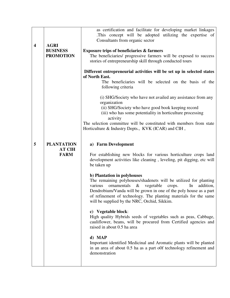| $\overline{\mathbf{4}}$ | <b>AGRI</b><br><b>BUSINESS</b><br><b>PROMOTION</b> | as certification and facilitate for developing market linkages<br>This concept will be adopted utilizing the expertise of<br>Consultants from organic sector<br><b>Exposure trips of beneficiaries &amp; farmers</b><br>The beneficiaries/ progressive farmers will be exposed to success<br>stories of entrepreneurship skill through conducted tours<br>Different entrepreneurial activities will be set up in selected states |  |  |
|-------------------------|----------------------------------------------------|----------------------------------------------------------------------------------------------------------------------------------------------------------------------------------------------------------------------------------------------------------------------------------------------------------------------------------------------------------------------------------------------------------------------------------|--|--|
|                         |                                                    | of North East.<br>The beneficiaries will be selected on the basis of the<br>following criteria                                                                                                                                                                                                                                                                                                                                   |  |  |
|                         |                                                    | (i) SHG/Society who have not availed any assistance from any<br>organization<br>(ii) SHG/Society who have good book keeping record<br>(iii) who has some potentiality in horticulture processing<br>activity<br>The selection committee will be constituted with members from state<br>Horticulture & Industry Depts., KVK (ICAR) and CIH,                                                                                       |  |  |
| 5                       | <b>PLANTATION</b><br><b>AT CIH</b><br><b>FARM</b>  | a) Farm Development<br>For establishing new blocks for various horticulture crops land<br>development activities like cleaning, leveling, pit digging, etc will<br>be taken up                                                                                                                                                                                                                                                   |  |  |
|                         |                                                    | b) Plantation in polyhouses<br>The remaining polyhouses/shadenets will be utilized for planting<br>ornamentals<br>various<br>$\&$<br>vegetable<br>addition,<br>crops.<br>In<br>Dendrobium/Vanda will be grown in one of the poly house as a part<br>of refinement of technology. The planting materials for the same<br>will be supplied by the NRC, Orchid, Sikkim.                                                             |  |  |
|                         |                                                    | c) Vegetable block:<br>High quality Hybrids seeds of vegetables such as peas, Cabbage,<br>cauliflower, beans, will be procured from Certified agencies and<br>raised in about 0.5 ha area                                                                                                                                                                                                                                        |  |  |
|                         |                                                    | d) MAP<br>Important identified Medicinal and Aromatic plants will be planted<br>in an area of about 0.5 ha as a part off technology refinement and<br>demonstration                                                                                                                                                                                                                                                              |  |  |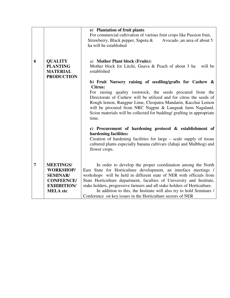|   |                                                                                                                       | e) Plantation of fruit plants<br>For commercial cultivation of various fruit crops like Passion fruit,<br>Strawberry, Black pepper, Sapota $\&$<br>Avocado, an area of about 5<br>ha will be established                                                                                                                                                                                                                                                                                                                                            |
|---|-----------------------------------------------------------------------------------------------------------------------|-----------------------------------------------------------------------------------------------------------------------------------------------------------------------------------------------------------------------------------------------------------------------------------------------------------------------------------------------------------------------------------------------------------------------------------------------------------------------------------------------------------------------------------------------------|
| 6 | <b>QUALITY</b><br><b>PLANTING</b><br><b>MATERIAL</b><br><b>PRODUCTION</b>                                             | a) Mother Plant block (Fruits):<br>Mother block for Litchi, Guava & Peach of about 3 ha<br>will be<br>established<br>b) Fruit Nursery raising of seedling/grafts for Cashew &<br><b>Citrus:</b><br>For raising quality rootstock, the seeds procured from the<br>Directorate of Cashew will be utilized and for citrus the seeds of<br>Rough lemon, Rangpur Lime, Cleopatra Mandarin, Kacchai Lemon<br>will be procured from NRC Nagpur & Lungnak farm Nagaland.<br>Scion materials will be collected for budding/ grafting in appropriate<br>time. |
|   |                                                                                                                       | c) Procurement of hardening protocol & establishment of<br>hardening facilities:<br>Creation of hardening facilities for large – scale supply of tissue<br>cultured plants especially banana cultivars (Jahaji and Malbhog) and<br>flower crops.                                                                                                                                                                                                                                                                                                    |
| 7 | <b>MEETINGS/</b><br><b>WORKSHOP/</b><br><b>SEMINAR/</b><br><b>CONFEENCE/</b><br><b>EXHIBITION/</b><br><b>MELA</b> etc | In order to develop the proper coordination among the North<br>East State for Horticulture development, an interface meetings /<br>workshops will be held in different state of NER with officials from<br>State Horticulture department, faculties of University and Institute,<br>stake holders, progressive farmers and all stake holders of Horticulture.<br>In addition to this, the Institute will also try to hold Seminars /<br>Conference on key issues in the Horticulture sectors of NER                                                 |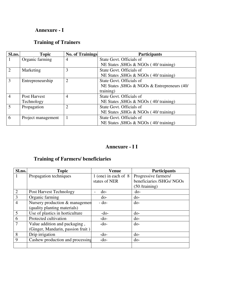### **Annexure - I**

# **Training of Trainers**

| Sl.no.                      | <b>Topic</b>       | <b>No. of Trainings</b> | <b>Participants</b>                          |
|-----------------------------|--------------------|-------------------------|----------------------------------------------|
|                             | Organic farming    | $\overline{4}$          | State Govt. Officials of                     |
|                             |                    |                         | NE States , SHGs & NGOs (40/ training)       |
| $\mathcal{D}_{\mathcal{L}}$ | Marketing          | 3                       | State Govt. Officials of                     |
|                             |                    |                         | NE States , SHGs & NGOs (40/ training)       |
| 3                           | Entrepreneurship   | $\overline{2}$          | State Govt. Officials of                     |
|                             |                    |                         | NE States , SHGs & NGOs & Entrepreneurs (40/ |
|                             |                    |                         | training)                                    |
| $\overline{4}$              | Post Harvest       | $\overline{4}$          | State Govt. Officials of                     |
|                             | Technology         |                         | NE States , SHGs & NGOs (40/ training)       |
| 5                           | Propagation        | $\overline{2}$          | State Govt. Officials of                     |
|                             |                    |                         | NE States , SHGs & NGOs (40/ training)       |
| 6                           | Project management |                         | State Govt. Officials of                     |
|                             |                    |                         | NE States , SHGs & NGOs (40/ training)       |

# **Annexure - I I**

# **Training of Farmers/ beneficiaries**

| Sl.no.         | <b>Topic</b>                      | <b>Venue</b>           | <b>Participants</b>       |
|----------------|-----------------------------------|------------------------|---------------------------|
|                | Propagation techniques            | 1 (one) in each of $8$ | Progressive farmers/      |
|                |                                   | states of NER          | beneficiaries /SHGs/ NGOs |
|                |                                   |                        | $(50 / \text{training})$  |
| $\overline{2}$ | Post Harvest Technology           | do-                    | $d$ o-                    |
| 3              | Organic farming                   | $d_{0}$ -              | $d_{0}$ -                 |
| 4              | Nursery production & managemen    | $-do-$                 | $d_{0}$                   |
|                | (quality planting materials)      |                        |                           |
| 5              | Use of plastics in horticulture   | $-do-$                 | $d_{0}$                   |
| 6              | Protected cultivation             | $-do-$                 | $d_{0}$ -                 |
| 7              | Value addition and packaging,     | $-do-$                 | $d_{0}$                   |
|                | (Ginger, Mandarin, passion fruit) |                        |                           |
| 8              | Drip irrigation                   | $-do-$                 | $d$ o-                    |
| 9              | Cashew production and processing  | $-do-$                 | $d_{0}$ -                 |
|                |                                   |                        |                           |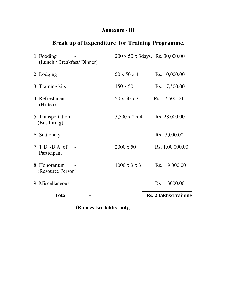### **Annexure - III**

# **Break up of Expenditure for Training Programme.**

|                     | 200 x 50 x 3days. Rs. 30,000.00 |                      |
|---------------------|---------------------------------|----------------------|
|                     |                                 |                      |
|                     | 50 x 50 x 4                     | Rs. 10,000.00        |
|                     | $150 \times 50$                 | Rs. 7,500.00         |
|                     | 50 x 50 x 3                     | Rs. 7,500.00         |
| 5. Transportation - | $3,500 \times 2 \times 4$       | Rs. 28,000.00        |
|                     |                                 | Rs. 5,000.00         |
|                     | $2000 \times 50$                | Rs. 1,00,000.00      |
| (Resource Person)   | $1000 \times 3 \times 3$        | 9,000.00<br>Rs.      |
| 9. Miscellaneous -  |                                 | 3000.00<br>Rs        |
|                     |                                 | Rs. 2 lakhs/Training |
|                     | (Lunch / Breakfast/ Dinner)     |                      |

**(Rupees two lakhs only)**